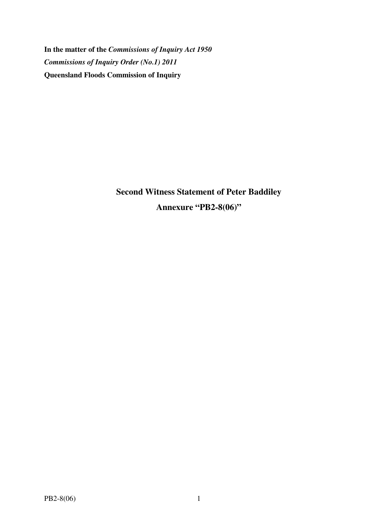**In the matter of the** *Commissions of Inquiry Act 1950 Commissions of Inquiry Order (No.1) 2011* **Queensland Floods Commission of Inquiry** 

> **Second Witness Statement of Peter Baddiley Annexure "PB2-8(06)"**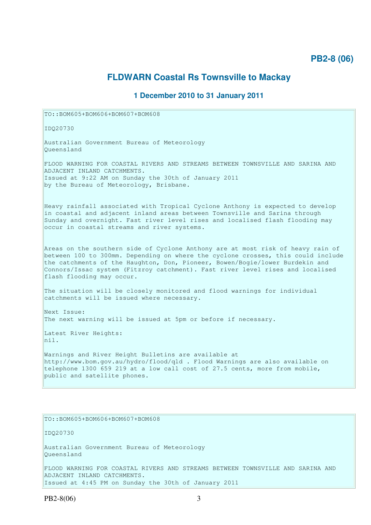## **PB2-8 (06)**

# **FLDWARN Coastal Rs Townsville to Mackay**

### **1 December 2010 to 31 January 2011**

TO::BOM605+BOM606+BOM607+BOM608

IDQ20730

Australian Government Bureau of Meteorology Queensland

FLOOD WARNING FOR COASTAL RIVERS AND STREAMS BETWEEN TOWNSVILLE AND SARINA AND ADJACENT INLAND CATCHMENTS. Issued at 9:22 AM on Sunday the 30th of January 2011 by the Bureau of Meteorology, Brisbane.

Heavy rainfall associated with Tropical Cyclone Anthony is expected to develop in coastal and adjacent inland areas between Townsville and Sarina through Sunday and overnight. Fast river level rises and localised flash flooding may occur in coastal streams and river systems.

Areas on the southern side of Cyclone Anthony are at most risk of heavy rain of between 100 to 300mm. Depending on where the cyclone crosses, this could include the catchments of the Haughton, Don, Pioneer, Bowen/Bogie/lower Burdekin and Connors/Issac system (Fitzroy catchment). Fast river level rises and localised flash flooding may occur.

The situation will be closely monitored and flood warnings for individual catchments will be issued where necessary.

Next Issue: The next warning will be issued at 5pm or before if necessary.

Latest River Heights: nil.

Warnings and River Height Bulletins are available at http://www.bom.gov.au/hydro/flood/qld . Flood Warnings are also available on telephone 1300 659 219 at a low call cost of 27.5 cents, more from mobile, public and satellite phones.

TO::BOM605+BOM606+BOM607+BOM608

IDQ20730

Australian Government Bureau of Meteorology Queensland

FLOOD WARNING FOR COASTAL RIVERS AND STREAMS BETWEEN TOWNSVILLE AND SARINA AND ADJACENT INLAND CATCHMENTS. Issued at 4:45 PM on Sunday the 30th of January 2011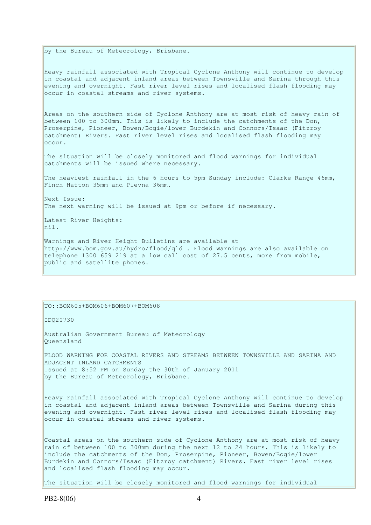by the Bureau of Meteorology, Brisbane.

Heavy rainfall associated with Tropical Cyclone Anthony will continue to develop in coastal and adjacent inland areas between Townsville and Sarina through this evening and overnight. Fast river level rises and localised flash flooding may occur in coastal streams and river systems.

Areas on the southern side of Cyclone Anthony are at most risk of heavy rain of between 100 to 300mm. This is likely to include the catchments of the Don, Proserpine, Pioneer, Bowen/Bogie/lower Burdekin and Connors/Isaac (Fitzroy catchment) Rivers. Fast river level rises and localised flash flooding may occur.

The situation will be closely monitored and flood warnings for individual catchments will be issued where necessary.

The heaviest rainfall in the 6 hours to 5pm Sunday include: Clarke Range 46mm, Finch Hatton 35mm and Plevna 36mm.

Next Issue: The next warning will be issued at 9pm or before if necessary.

Latest River Heights: nil.

Warnings and River Height Bulletins are available at http://www.bom.gov.au/hydro/flood/qld . Flood Warnings are also available on telephone 1300 659 219 at a low call cost of 27.5 cents, more from mobile, public and satellite phones.

#### TO::BOM605+BOM606+BOM607+BOM608

IDQ20730

Australian Government Bureau of Meteorology Queensland

FLOOD WARNING FOR COASTAL RIVERS AND STREAMS BETWEEN TOWNSVILLE AND SARINA AND ADJACENT INLAND CATCHMENTS Issued at 8:52 PM on Sunday the 30th of January 2011 by the Bureau of Meteorology, Brisbane.

Heavy rainfall associated with Tropical Cyclone Anthony will continue to develop in coastal and adjacent inland areas between Townsville and Sarina during this evening and overnight. Fast river level rises and localised flash flooding may occur in coastal streams and river systems.

Coastal areas on the southern side of Cyclone Anthony are at most risk of heavy rain of between 100 to 300mm during the next 12 to 24 hours. This is likely to include the catchments of the Don, Proserpine, Pioneer, Bowen/Bogie/lower Burdekin and Connors/Isaac (Fitzroy catchment) Rivers. Fast river level rises and localised flash flooding may occur.

The situation will be closely monitored and flood warnings for individual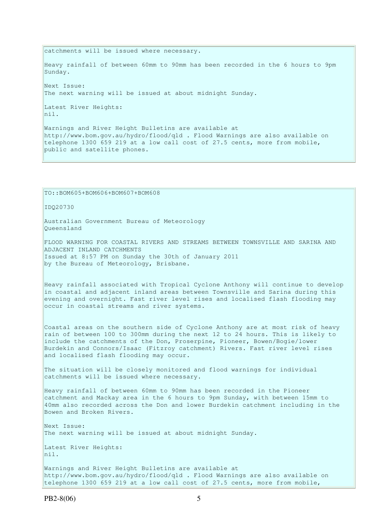catchments will be issued where necessary. Heavy rainfall of between 60mm to 90mm has been recorded in the 6 hours to 9pm Sunday. Next Issue: The next warning will be issued at about midnight Sunday. Latest River Heights:  $\ln i$ . Warnings and River Height Bulletins are available at http://www.bom.gov.au/hydro/flood/qld . Flood Warnings are also available on telephone 1300 659 219 at a low call cost of 27.5 cents, more from mobile, public and satellite phones.

```
TO::BOM605+BOM606+BOM607+BOM608 
IDQ20730 
Australian Government Bureau of Meteorology 
Queensland 
FLOOD WARNING FOR COASTAL RIVERS AND STREAMS BETWEEN TOWNSVILLE AND SARINA AND 
ADJACENT INLAND CATCHMENTS 
Issued at 8:57 PM on Sunday the 30th of January 2011 
by the Bureau of Meteorology, Brisbane.
Heavy rainfall associated with Tropical Cyclone Anthony will continue to develop 
in coastal and adjacent inland areas between Townsville and Sarina during this 
evening and overnight. Fast river level rises and localised flash flooding may
occur in coastal streams and river systems. 
Coastal areas on the southern side of Cyclone Anthony are at most risk of heavy 
rain of between 100 to 300mm during the next 12 to 24 hours. This is likely to
include the catchments of the Don, Proserpine, Pioneer, Bowen/Bogie/lower 
Burdekin and Connors/Isaac (Fitzroy catchment) Rivers. Fast river level rises 
and localised flash flooding may occur.
The situation will be closely monitored and flood warnings for individual
catchments will be issued where necessary. 
Heavy rainfall of between 60mm to 90mm has been recorded in the Pioneer 
catchment and Mackay area in the 6 hours to 9pm Sunday, with between 15mm to 
40mm also recorded across the Don and lower Burdekin catchment including in the 
Bowen and Broken Rivers. 
Next Issue: 
The next warning will be issued at about midnight Sunday. 
Latest River Heights: 
nil. 
Warnings and River Height Bulletins are available at 
http://www.bom.gov.au/hydro/flood/qld . Flood Warnings are also available on 
telephone 1300 659 219 at a low call cost of 27.5 cents, more from mobile,
```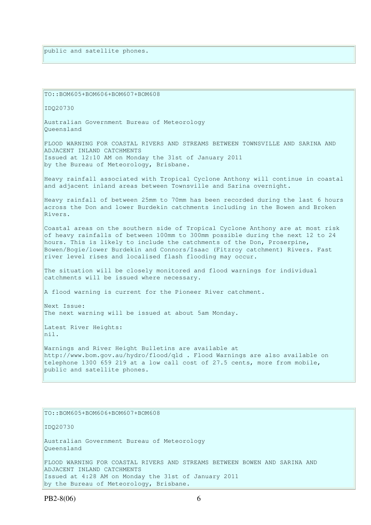public and satellite phones.

TO::BOM605+BOM606+BOM607+BOM608

IDQ20730

Australian Government Bureau of Meteorology Queensland

FLOOD WARNING FOR COASTAL RIVERS AND STREAMS BETWEEN TOWNSVILLE AND SARINA AND ADJACENT INLAND CATCHMENTS Issued at 12:10 AM on Monday the 31st of January 2011 by the Bureau of Meteorology, Brisbane.

Heavy rainfall associated with Tropical Cyclone Anthony will continue in coastal and adjacent inland areas between Townsville and Sarina overnight.

Heavy rainfall of between 25mm to 70mm has been recorded during the last 6 hours across the Don and lower Burdekin catchments including in the Bowen and Broken Rivers.

Coastal areas on the southern side of Tropical Cyclone Anthony are at most risk of heavy rainfalls of between 100mm to 300mm possible during the next 12 to 24 hours. This is likely to include the catchments of the Don, Proserpine, Bowen/Bogie/lower Burdekin and Connors/Isaac (Fitzroy catchment) Rivers. Fast river level rises and localised flash flooding may occur.

The situation will be closely monitored and flood warnings for individual catchments will be issued where necessary.

A flood warning is current for the Pioneer River catchment.

Next Issue: The next warning will be issued at about 5am Monday.

Latest River Heights: nil.

Warnings and River Height Bulletins are available at http://www.bom.gov.au/hydro/flood/qld . Flood Warnings are also available on telephone 1300 659 219 at a low call cost of 27.5 cents, more from mobile, public and satellite phones.

#### TO::BOM605+BOM606+BOM607+BOM608

IDQ20730

Australian Government Bureau of Meteorology Queensland

FLOOD WARNING FOR COASTAL RIVERS AND STREAMS BETWEEN BOWEN AND SARINA AND ADJACENT INLAND CATCHMENTS Issued at 4:28 AM on Monday the 31st of January 2011 by the Bureau of Meteorology, Brisbane.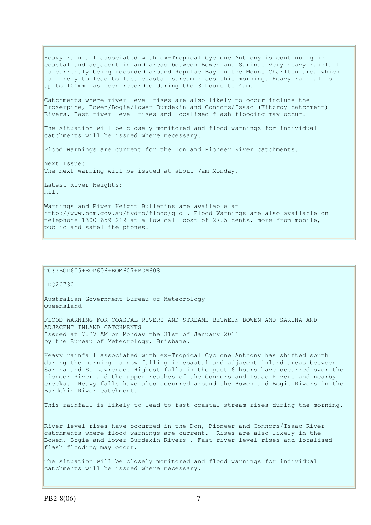Heavy rainfall associated with ex-Tropical Cyclone Anthony is continuing in coastal and adjacent inland areas between Bowen and Sarina. Very heavy rainfall is currently being recorded around Repulse Bay in the Mount Charlton area which is likely to lead to fast coastal stream rises this morning. Heavy rainfall of up to 100mm has been recorded during the 3 hours to 4am. Catchments where river level rises are also likely to occur include the Proserpine, Bowen/Bogie/lower Burdekin and Connors/Isaac (Fitzroy catchment) Rivers. Fast river level rises and localised flash flooding may occur. The situation will be closely monitored and flood warnings for individual catchments will be issued where necessary. Flood warnings are current for the Don and Pioneer River catchments. Next Issue: The next warning will be issued at about 7am Monday. Latest River Heights: nil. Warnings and River Height Bulletins are available at http://www.bom.gov.au/hydro/flood/qld . Flood Warnings are also available on telephone 1300 659 219 at a low call cost of 27.5 cents, more from mobile, public and satellite phones.

### TO::BOM605+BOM606+BOM607+BOM608

IDQ20730

Australian Government Bureau of Meteorology Queensland

FLOOD WARNING FOR COASTAL RIVERS AND STREAMS BETWEEN BOWEN AND SARINA AND ADJACENT INLAND CATCHMENTS Issued at 7:27 AM on Monday the 31st of January 2011 by the Bureau of Meteorology, Brisbane.

Heavy rainfall associated with ex-Tropical Cyclone Anthony has shifted south during the morning is now falling in coastal and adjacent inland areas between Sarina and St Lawrence. Highest falls in the past 6 hours have occurred over the Pioneer River and the upper reaches of the Connors and Isaac Rivers and nearby creeks. Heavy falls have also occurred around the Bowen and Bogie Rivers in the Burdekin River catchment.

This rainfall is likely to lead to fast coastal stream rises during the morning.

River level rises have occurred in the Don, Pioneer and Connors/Isaac River catchments where flood warnings are current. Rises are also likely in the Bowen, Bogie and lower Burdekin Rivers . Fast river level rises and localised flash flooding may occur.

The situation will be closely monitored and flood warnings for individual catchments will be issued where necessary.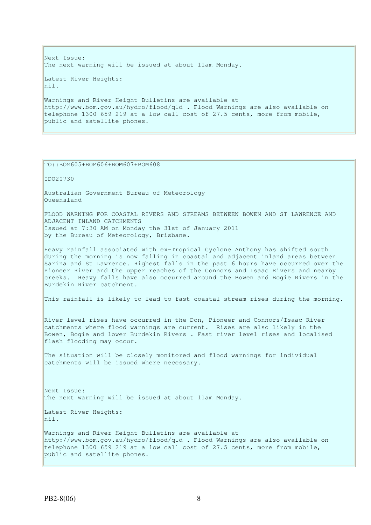Next Issue: The next warning will be issued at about 11am Monday. Latest River Heights: nil. Warnings and River Height Bulletins are available at http://www.bom.gov.au/hydro/flood/qld . Flood Warnings are also available on telephone 1300 659 219 at a low call cost of 27.5 cents, more from mobile, public and satellite phones.

TO::BOM605+BOM606+BOM607+BOM608

IDQ20730

Australian Government Bureau of Meteorology Queensland

FLOOD WARNING FOR COASTAL RIVERS AND STREAMS BETWEEN BOWEN AND ST LAWRENCE AND ADJACENT INLAND CATCHMENTS Issued at 7:30 AM on Monday the 31st of January 2011 by the Bureau of Meteorology, Brisbane.

Heavy rainfall associated with ex-Tropical Cyclone Anthony has shifted south during the morning is now falling in coastal and adjacent inland areas between Sarina and St Lawrence. Highest falls in the past 6 hours have occurred over the Pioneer River and the upper reaches of the Connors and Isaac Rivers and nearby creeks. Heavy falls have also occurred around the Bowen and Bogie Rivers in the Burdekin River catchment.

This rainfall is likely to lead to fast coastal stream rises during the morning.

River level rises have occurred in the Don, Pioneer and Connors/Isaac River catchments where flood warnings are current. Rises are also likely in the Bowen, Bogie and lower Burdekin Rivers . Fast river level rises and localised flash flooding may occur.

The situation will be closely monitored and flood warnings for individual catchments will be issued where necessary.

Next Issue: The next warning will be issued at about 11am Monday.

Latest River Heights:  $\ln i$ 

Warnings and River Height Bulletins are available at http://www.bom.gov.au/hydro/flood/qld . Flood Warnings are also available on telephone 1300 659 219 at a low call cost of 27.5 cents, more from mobile, public and satellite phones.